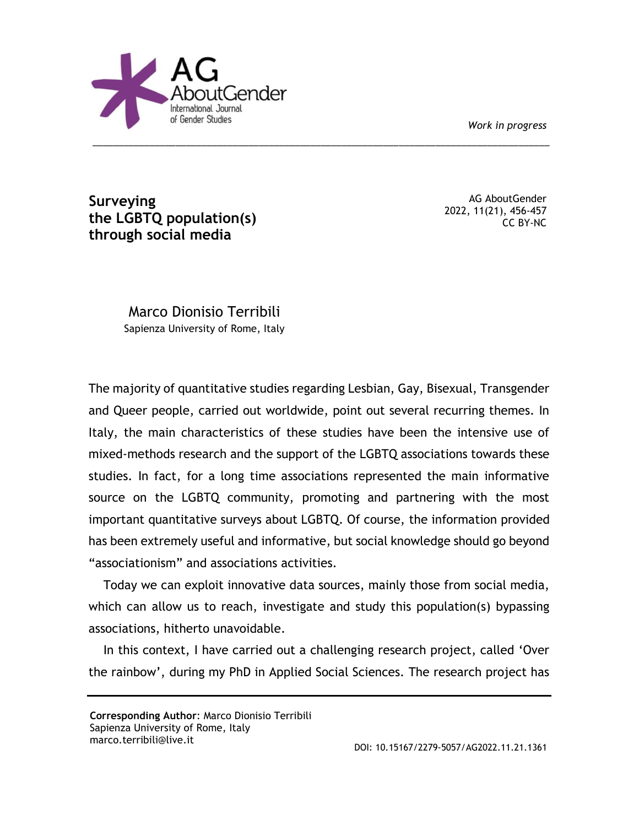*Work in progress*



**Surveying the LGBTQ population(s) through social media**

AG AboutGender 2022, 11(21), 456-457 CC BY-NC

Marco Dionisio Terribili Sapienza University of Rome, Italy

The majority of quantitative studies regarding Lesbian, Gay, Bisexual, Transgender and Queer people, carried out worldwide, point out several recurring themes. In Italy, the main characteristics of these studies have been the intensive use of mixed-methods research and the support of the LGBTQ associations towards these studies. In fact, for a long time associations represented the main informative source on the LGBTQ community, promoting and partnering with the most important quantitative surveys about LGBTQ. Of course, the information provided has been extremely useful and informative, but social knowledge should go beyond "associationism" and associations activities.

\_\_\_\_\_\_\_\_\_\_\_\_\_\_\_\_\_\_\_\_\_\_\_\_\_\_\_\_\_\_\_\_\_\_\_\_\_\_\_\_\_\_\_\_\_\_\_\_\_\_\_\_\_\_\_\_\_\_\_\_\_\_\_\_\_\_\_\_\_\_\_\_\_\_\_\_\_\_\_\_\_\_\_\_\_\_\_\_

Today we can exploit innovative data sources, mainly those from social media, which can allow us to reach, investigate and study this population(s) bypassing associations, hitherto unavoidable.

In this context, I have carried out a challenging research project, called 'Over the rainbow', during my PhD in Applied Social Sciences. The research project has